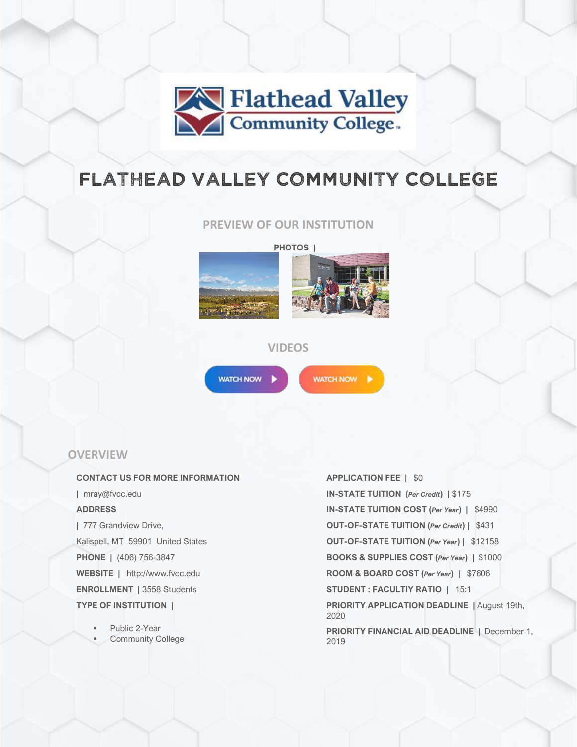

# FLATHEAD VALLEY COMMUNITY COLLEGE

**PREVIEW OF OUR INSTITUTION**

**PHOTOS |**





## **VIDEOS**



WATCH NOW

## **OVERVIEW**

#### **CONTACT US FOR MORE INFORMATION**

**|** mray@fvcc.edu

### **ADDRESS**

**|** 777 Grandview Drive, Kalispell, MT 59901 United States **PHONE |** (406) 756-3847 **WEBSITE |** http://www.fvcc.edu **ENROLLMENT |** 3558 Students **TYPE OF INSTITUTION |**

> Public 2-Year **Community College**

#### **APPLICATION FEE |** \$0

**IN-STATE TUITION (***Per Credit***) |** \$175 **IN-STATE TUITION COST (***Per Year***) |** \$4990 **OUT-OF-STATE TUITION (***Per Credit***) |** \$431 **OUT-OF-STATE TUITION (***Per Year***) |** \$12158 **BOOKS & SUPPLIES COST (***Per Year***) |** \$1000 **ROOM & BOARD COST (***Per Year***) |** \$7606 **STUDENT : FACULTIY RATIO |** 15:1 **PRIORITY APPLICATION DEADLINE |** August 19th, 2020 **PRIORITY FINANCIAL AID DEADLINE |** December 1, 2019